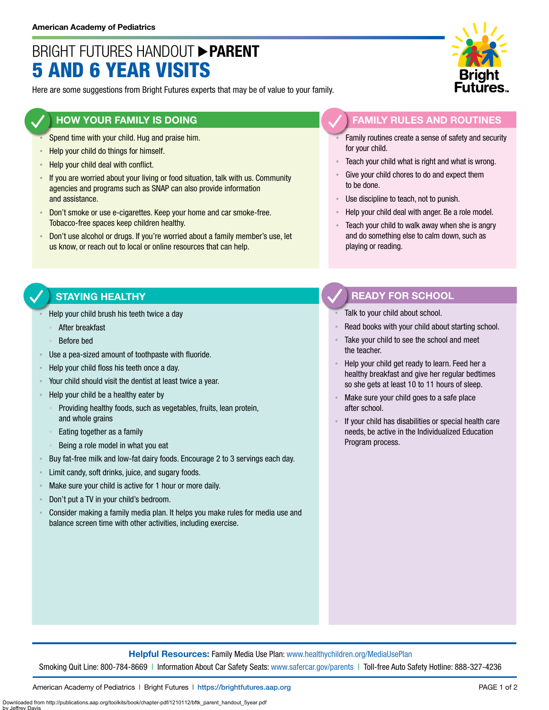# BRIGHT FUTURES HANDOUT **PARENT** 5 AND 6 YEAR VISITS

Here are some suggestions from Bright Futures experts that may be of value to your family.

### **HOW YOUR FAMILY IS DOING**

- Spend time with your child. Hug and praise him.
- **EXECT** Help your child do things for himself.
- Help your child deal with conflict.
- If you are worried about your living or food situation, talk with us. Community agencies and programs such as SNAP can also provide information and assistance.
- Don't smoke or use e-cigarettes. Keep your home and car smoke-free. Tobacco-free spaces keep children healthy.
- Don't use alcohol or drugs. If you're worried about a family member's use, let us know, or reach out to local or online resources that can help.

#### **FAMILY RULES AND ROUTINES**

- Family routines create a sense of safety and security for your child.
- Teach your child what is right and what is wrong.
- Give your child chores to do and expect them to be done.
- Use discipline to teach, not to punish.
- Help your child deal with anger. Be a role model.
- Teach your child to walk away when she is angry and do something else to calm down, such as playing or reading.

#### **STAYING HEALTHY**

- Help your child brush his teeth twice a day
	- After breakfast
	- Before bed
- Use a pea-sized amount of toothpaste with fluoride.
- Help your child floss his teeth once a day.
- Your child should visit the dentist at least twice a year.
- Help your child be a healthy eater by
	- Providing healthy foods, such as vegetables, fruits, lean protein, and whole grains
	- Eating together as a family
	- Being a role model in what you eat
- Buy fat-free milk and low-fat dairy foods. Encourage 2 to 3 servings each day.
- Limit candy, soft drinks, juice, and sugary foods.
- Make sure your child is active for 1 hour or more daily.
- Don't put a TV in your child's bedroom.
- Consider making a family media plan. It helps you make rules for media use and balance screen time with other activities, including exercise.

## **READY FOR SCHOOL**

- Talk to your child about school.
- Read books with your child about starting school.
- Take your child to see the school and meet the teacher.
- Help your child get ready to learn. Feed her a healthy breakfast and give her regular bedtimes so she gets at least 10 to 11 hours of sleep.
- Make sure your child goes to a safe place after school.
- If your child has disabilities or special health care needs, be active in the Individualized Education Program process.

**Helpful Resources:** Family Media Use Plan: [www.healthychildren.org/MediaUsePlan](https://www.healthychildren.org/English/media/Pages/default.aspx)

Smoking Quit Line: 800-784-8669 | Information About Car Safety Seats: [www.safercar.gov/parents](https://www.nhtsa.gov/parents-and-caregivers) | Toll-free Auto Safety Hotline: 888-327-4236

American Academy of Pediatrics | Bright Futures | https://[brightfutures.aap.org](https://brightfutures.aap.org/Pages/default.aspx) PAGE 1 of 2